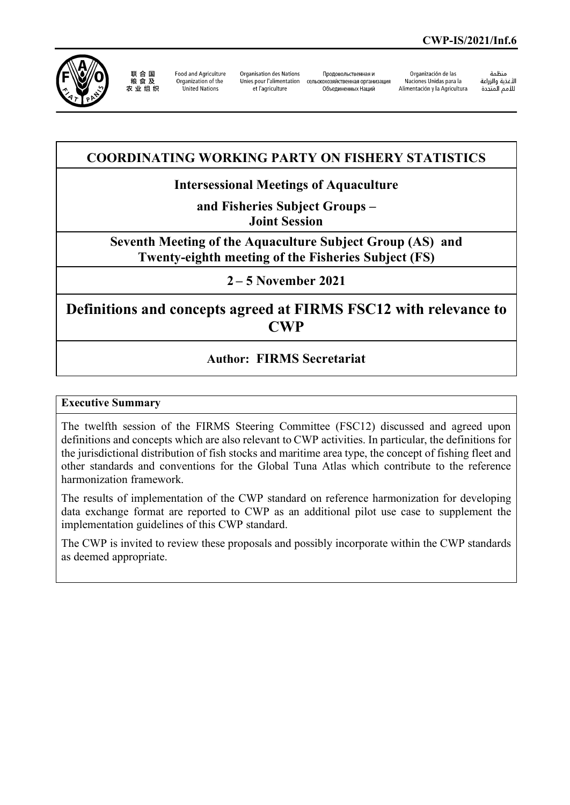

联合国<br>粮食及 太业组织

**Ennd and Agriculture** Organization of the United Nations

Organisation des Nations Unies pour l'alimentation сельскохозяйственная организация et l'agriculture

Продовольственная и Объединенных Наций

Organización de las Naciones Unidas para la Alimentación y la Agricultura

منظمة الأغذية والزراعة التعدية والزراعة<br>اللامم المتحدة

# **COORDINATING WORKING PARTY ON FISHERY STATISTICS**

## **Intersessional Meetings of Aquaculture**

**and Fisheries Subject Groups – Joint Session**

**Seventh Meeting of the Aquaculture Subject Group (AS) and Twenty-eighth meeting of the Fisheries Subject (FS)**

**2 – 5 November 2021**

**Definitions and concepts agreed at FIRMS FSC12 with relevance to CWP**

## **Author: FIRMS Secretariat**

### **Executive Summary**

The twelfth session of the FIRMS Steering Committee (FSC12) discussed and agreed upon definitions and concepts which are also relevant to CWP activities. In particular, the definitions for the jurisdictional distribution of fish stocks and maritime area type, the concept of fishing fleet and other standards and conventions for the Global Tuna Atlas which contribute to the reference harmonization framework.

The results of implementation of the CWP standard on reference harmonization for developing data exchange format are reported to CWP as an additional pilot use case to supplement the implementation guidelines of this CWP standard.

The CWP is invited to review these proposals and possibly incorporate within the CWP standards as deemed appropriate.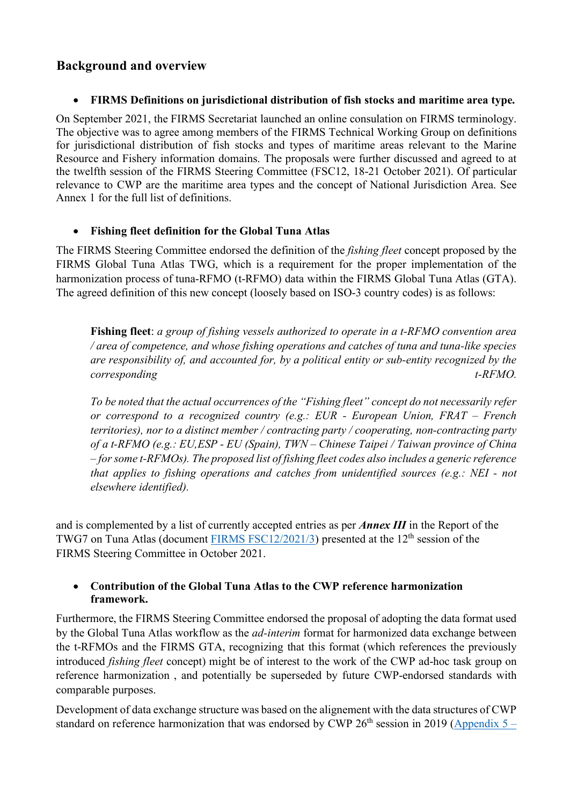## **Background and overview**

## • **FIRMS Definitions on jurisdictional distribution of fish stocks and maritime area type.**

On September 2021, the FIRMS Secretariat launched an online consulation on FIRMS terminology. The objective was to agree among members of the FIRMS Technical Working Group on definitions for jurisdictional distribution of fish stocks and types of maritime areas relevant to the Marine Resource and Fishery information domains. The proposals were further discussed and agreed to at the twelfth session of the FIRMS Steering Committee (FSC12, 18-21 October 2021). Of particular relevance to CWP are the maritime area types and the concept of National Jurisdiction Area. See Annex 1 for the full list of definitions.

## • **Fishing fleet definition for the Global Tuna Atlas**

The FIRMS Steering Committee endorsed the definition of the *fishing fleet* concept proposed by the FIRMS Global Tuna Atlas TWG, which is a requirement for the proper implementation of the harmonization process of tuna-RFMO (t-RFMO) data within the FIRMS Global Tuna Atlas (GTA). The agreed definition of this new concept (loosely based on ISO-3 country codes) is as follows:

**Fishing fleet**: *a group of fishing vessels authorized to operate in a t-RFMO convention area / area of competence, and whose fishing operations and catches of tuna and tuna-like species are responsibility of, and accounted for, by a political entity or sub-entity recognized by the corresponding*  $t$ -RFMO.

*To be noted that the actual occurrences of the "Fishing fleet" concept do not necessarily refer or correspond to a recognized country (e.g.: EUR - European Union, FRAT – French territories), nor to a distinct member / contracting party / cooperating, non-contracting party of a t-RFMO (e.g.: EU,ESP - EU (Spain), TWN – Chinese Taipei / Taiwan province of China – for some t-RFMOs). The proposed list of fishing fleet codes also includes a generic reference that applies to fishing operations and catches from unidentified sources (e.g.: NEI - not elsewhere identified).*

and is complemented by a list of currently accepted entries as per *Annex III* in the Report of the TWG7 on Tuna Atlas (document [FIRMS FSC12/2021/3\)](https://www.fao.org/fileadmin/user_upload/faoweb/FI_Meetings/FIRMS/FSC12/3e.pdf) presented at the  $12<sup>th</sup>$  session of the FIRMS Steering Committee in October 2021.

## • **Contribution of the Global Tuna Atlas to the CWP reference harmonization framework.**

Furthermore, the FIRMS Steering Committee endorsed the proposal of adopting the data format used by the Global Tuna Atlas workflow as the *ad-interim* format for harmonized data exchange between the t-RFMOs and the FIRMS GTA, recognizing that this format (which references the previously introduced *fishing fleet* concept) might be of interest to the work of the CWP ad-hoc task group on reference harmonization , and potentially be superseded by future CWP-endorsed standards with comparable purposes.

Development of data exchange structure was based on the alignement with the data structures of CWP standard on reference harmonization that was endorsed by CWP  $26<sup>th</sup>$  session in 2019 [\(Appendix 5 –](http://www.fao.org/3/ca6684en/ca6684en.pdf)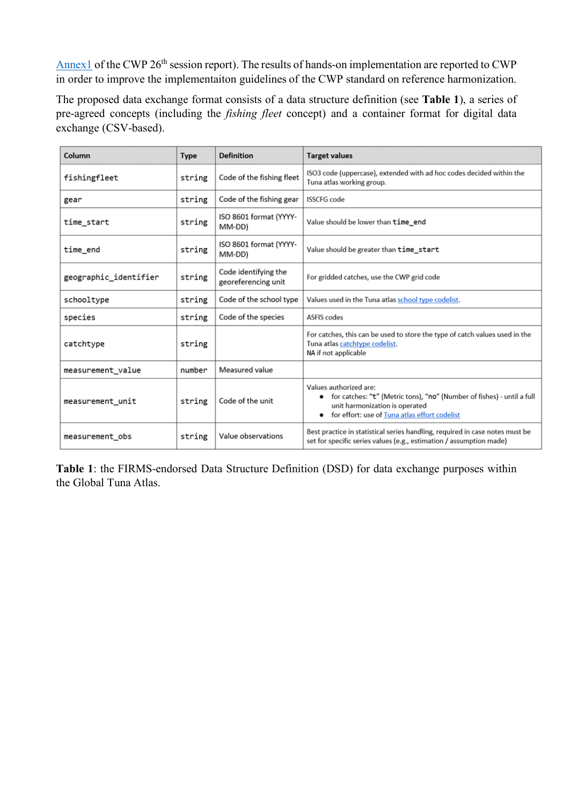$\frac{\text{Annex1}}{\text{Out}}$  $\frac{\text{Annex1}}{\text{Out}}$  $\frac{\text{Annex1}}{\text{Out}}$  of the CWP 26<sup>th</sup> session report). The results of hands-on implementation are reported to CWP in order to improve the implementaiton guidelines of the CWP standard on reference harmonization.

The proposed data exchange format consists of a data structure definition (see **Table 1**), a series of pre-agreed concepts (including the *fishing fleet* concept) and a container format for digital data exchange (CSV-based).

| Column                | <b>Type</b> | <b>Definition</b>                           | <b>Target values</b>                                                                                                                                                                    |
|-----------------------|-------------|---------------------------------------------|-----------------------------------------------------------------------------------------------------------------------------------------------------------------------------------------|
| fishingfleet          | string      | Code of the fishing fleet                   | ISO3 code (uppercase), extended with ad hoc codes decided within the<br>Tuna atlas working group.                                                                                       |
| gear                  | string      | Code of the fishing gear                    | <b>ISSCFG</b> code                                                                                                                                                                      |
| time_start            | string      | ISO 8601 format (YYYY-<br>MM-DD)            | Value should be lower than time_end                                                                                                                                                     |
| time_end              | string      | ISO 8601 format (YYYY-<br>MM-DD)            | Value should be greater than time start                                                                                                                                                 |
| geographic_identifier | string      | Code identifying the<br>georeferencing unit | For gridded catches, use the CWP grid code                                                                                                                                              |
| schooltype            | string      | Code of the school type                     | Values used in the Tuna atlas school type codelist.                                                                                                                                     |
| species               | string      | Code of the species                         | <b>ASFIS codes</b>                                                                                                                                                                      |
| catchtype             | string      |                                             | For catches, this can be used to store the type of catch values used in the<br>Tuna atlas catchtype codelist.<br>NA if not applicable                                                   |
| measurement_value     | number      | Measured value                              |                                                                                                                                                                                         |
| measurement unit      | string      | Code of the unit                            | Values authorized are:<br>• for catches: "t" (Metric tons), "no" (Number of fishes) - until a full<br>unit harmonization is operated<br>• for effort: use of Tuna atlas effort codelist |
| measurement_obs       | string      | Value observations                          | Best practice in statistical series handling, required in case notes must be<br>set for specific series values (e.g., estimation / assumption made)                                     |

**Table 1**: the FIRMS-endorsed Data Structure Definition (DSD) for data exchange purposes within the Global Tuna Atlas.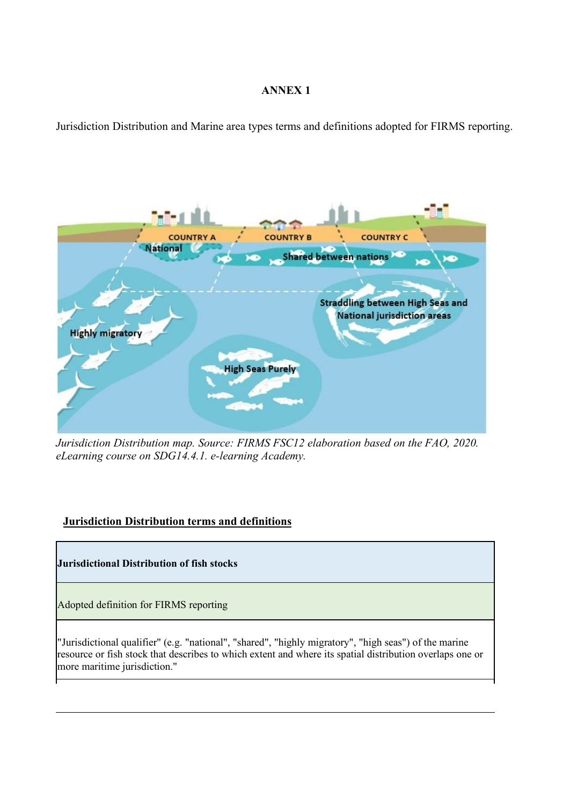## **ANNEX 1**

Jurisdiction Distribution and Marine area types terms and definitions adopted for FIRMS reporting.



*Jurisdiction Distribution map. Source: FIRMS FSC12 elaboration based on the FAO, 2020. eLearning course on SDG14.4.1. e-learning Academy.*

## **Jurisdiction Distribution terms and definitions**

## **Jurisdictional Distribution of fish stocks**

Adopted definition for FIRMS reporting

"Jurisdictional qualifier" (e.g. "national", "shared", "highly migratory", "high seas") of the marine resource or fish stock that describes to which extent and where its spatial distribution overlaps one or more maritime jurisdiction."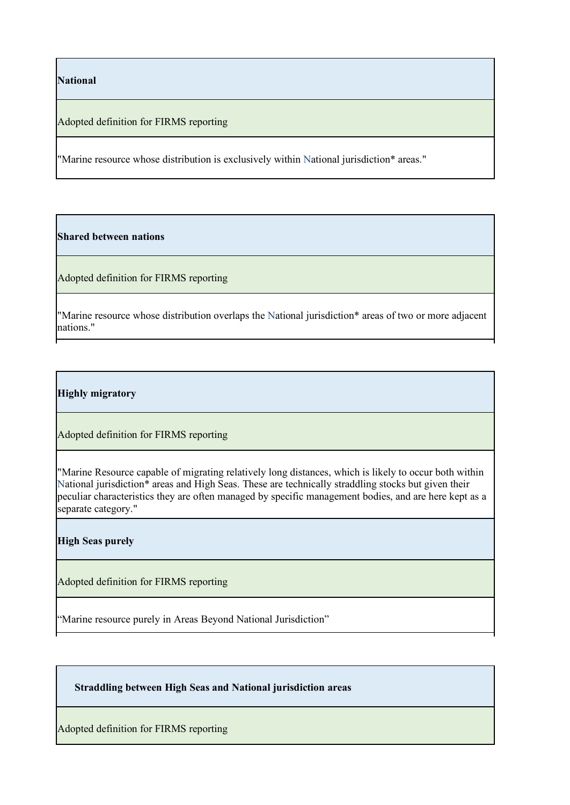**National**

Adopted definition for FIRMS reporting

"Marine resource whose distribution is exclusively within National jurisdiction\* areas."

**Shared between nations**

Adopted definition for FIRMS reporting

"Marine resource whose distribution overlaps the National jurisdiction\* areas of two or more adjacent nations."

**Highly migratory**

Adopted definition for FIRMS reporting

"Marine Resource capable of migrating relatively long distances, which is likely to occur both within National jurisdiction\* areas and High Seas. These are technically straddling stocks but given their peculiar characteristics they are often managed by specific management bodies, and are here kept as a .<br>separate category."

**High Seas purely**

Adopted definition for FIRMS reporting

'Marine resource purely in Areas Beyond National Jurisdiction"

**Straddling between High Seas and National jurisdiction areas**

Adopted definition for FIRMS reporting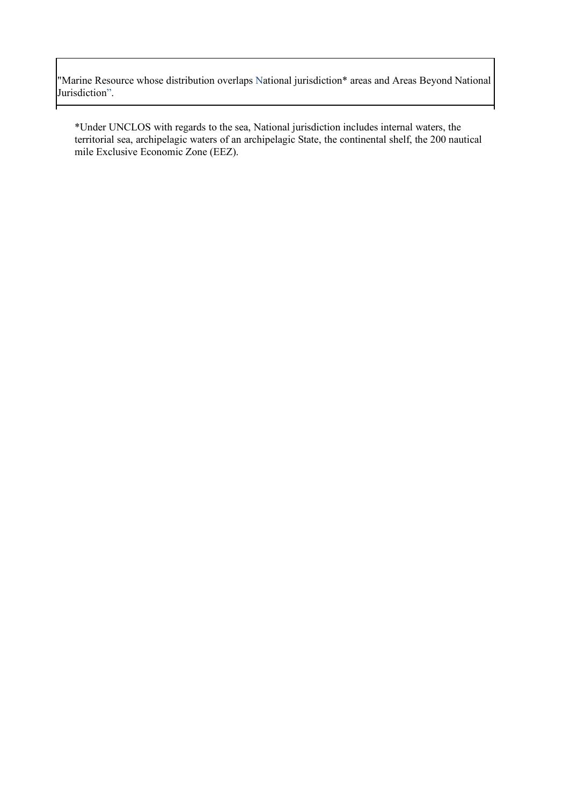"Marine Resource whose distribution overlaps National jurisdiction\* areas and Areas Beyond National Jurisdiction".

\*Under UNCLOS with regards to the sea, National jurisdiction includes internal waters, the territorial sea, archipelagic waters of an archipelagic State, the continental shelf, the 200 nautical mile Exclusive Economic Zone (EEZ).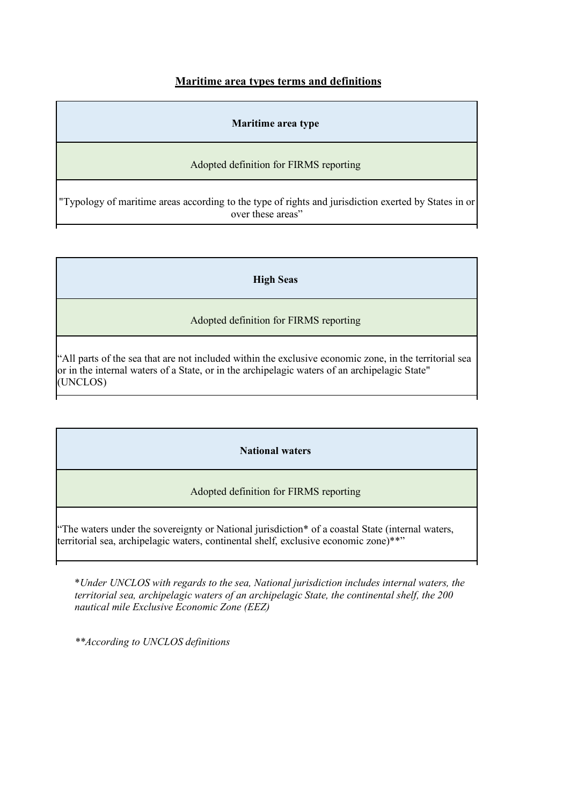## **Maritime area types terms and definitions**

### **Maritime area type**

### Adopted definition for FIRMS reporting

"Typology of maritime areas according to the type of rights and jurisdiction exerted by States in or over these areas"

**High Seas**

### Adopted definition for FIRMS reporting

"All parts of the sea that are not included within the exclusive economic zone, in the territorial sea or in the internal waters of a State, or in the archipelagic waters of an archipelagic State" (UNCLOS)

#### **National waters**

### Adopted definition for FIRMS reporting

"The waters under the sovereignty or National jurisdiction\* of a coastal State (internal waters, territorial sea, archipelagic waters, continental shelf, exclusive economic zone)\*\*"

\**Under UNCLOS with regards to the sea, National jurisdiction includes internal waters, the territorial sea, archipelagic waters of an archipelagic State, the continental shelf, the 200 nautical mile Exclusive Economic Zone (EEZ)*

*\*\*According to UNCLOS definitions*